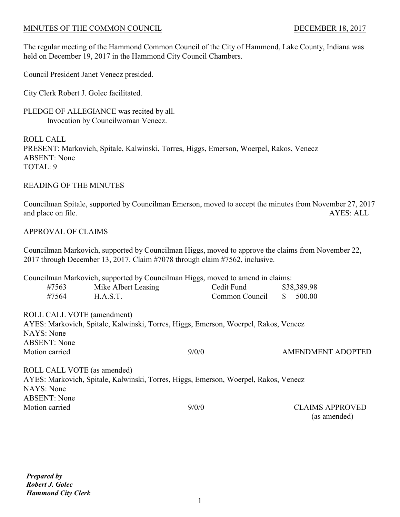The regular meeting of the Hammond Common Council of the City of Hammond, Lake County, Indiana was held on December 19, 2017 in the Hammond City Council Chambers.

Council President Janet Venecz presided.

City Clerk Robert J. Golec facilitated.

PLEDGE OF ALLEGIANCE was recited by all. Invocation by Councilwoman Venecz.

ROLL CALL PRESENT: Markovich, Spitale, Kalwinski, Torres, Higgs, Emerson, Woerpel, Rakos, Venecz ABSENT: None TOTAL: 9

#### READING OF THE MINUTES

Councilman Spitale, supported by Councilman Emerson, moved to accept the minutes from November 27, 2017 and place on file. AYES: ALL

# APPROVAL OF CLAIMS

Councilman Markovich, supported by Councilman Higgs, moved to approve the claims from November 22, 2017 through December 13, 2017. Claim #7078 through claim #7562, inclusive.

|                             | Councilman Markovich, supported by Councilman Higgs, moved to amend in claims:                                                                                                                                                                                                                            |                |    |                          |
|-----------------------------|-----------------------------------------------------------------------------------------------------------------------------------------------------------------------------------------------------------------------------------------------------------------------------------------------------------|----------------|----|--------------------------|
| #7563                       | Mike Albert Leasing                                                                                                                                                                                                                                                                                       | Cedit Fund     |    | \$38,389.98              |
| #7564                       | H.A.S.T.                                                                                                                                                                                                                                                                                                  | Common Council | S. | 500.00                   |
| ROLL CALL VOTE (amendment)  |                                                                                                                                                                                                                                                                                                           |                |    |                          |
|                             | AYES: Markovich, Spitale, Kalwinski, Torres, Higgs, Emerson, Woerpel, Rakos, Venecz                                                                                                                                                                                                                       |                |    |                          |
| NAYS: None                  |                                                                                                                                                                                                                                                                                                           |                |    |                          |
| <b>ABSENT:</b> None         |                                                                                                                                                                                                                                                                                                           |                |    |                          |
| Motion carried              |                                                                                                                                                                                                                                                                                                           | 9/0/0          |    | <b>AMENDMENT ADOPTED</b> |
| ROLL CALL VOTE (as amended) |                                                                                                                                                                                                                                                                                                           |                |    |                          |
|                             | $\frac{1}{2}$ , $\frac{1}{2}$ , $\frac{1}{2}$ , $\frac{1}{2}$ , $\frac{1}{2}$ , $\frac{1}{2}$ , $\frac{1}{2}$ , $\frac{1}{2}$ , $\frac{1}{2}$ , $\frac{1}{2}$ , $\frac{1}{2}$ , $\frac{1}{2}$ , $\frac{1}{2}$ , $\frac{1}{2}$ , $\frac{1}{2}$ , $\frac{1}{2}$ , $\frac{1}{2}$ , $\frac{1}{2}$ , $\frac{1$ |                |    |                          |

AYES: Markovich, Spitale, Kalwinski, Torres, Higgs, Emerson, Woerpel, Rakos, Venecz NAYS: None ABSENT: None Motion carried  $9/0/0$  CLAIMS APPROVED

(as amended)

1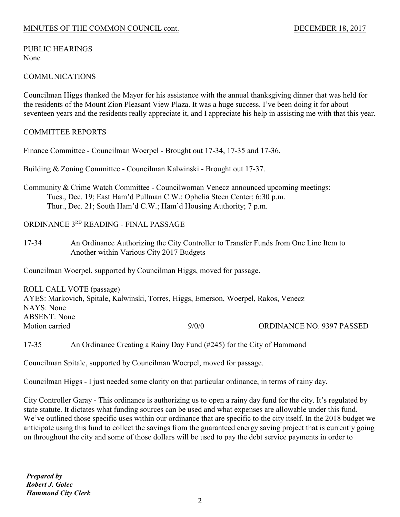#### PUBLIC HEARINGS None

# COMMUNICATIONS

Councilman Higgs thanked the Mayor for his assistance with the annual thanksgiving dinner that was held for the residents of the Mount Zion Pleasant View Plaza. It was a huge success. I've been doing it for about seventeen years and the residents really appreciate it, and I appreciate his help in assisting me with that this year.

# COMMITTEE REPORTS

Finance Committee - Councilman Woerpel - Brought out 17-34, 17-35 and 17-36.

Building & Zoning Committee - Councilman Kalwinski - Brought out 17-37.

Community & Crime Watch Committee - Councilwoman Venecz announced upcoming meetings: Tues., Dec. 19; East Ham'd Pullman C.W.; Ophelia Steen Center; 6:30 p.m. Thur., Dec. 21; South Ham'd C.W.; Ham'd Housing Authority; 7 p.m.

ORDINANCE 3RD READING - FINAL PASSAGE

17-34 An Ordinance Authorizing the City Controller to Transfer Funds from One Line Item to Another within Various City 2017 Budgets

Councilman Woerpel, supported by Councilman Higgs, moved for passage.

ROLL CALL VOTE (passage) AYES: Markovich, Spitale, Kalwinski, Torres, Higgs, Emerson, Woerpel, Rakos, Venecz NAYS: None ABSENT: None Motion carried 2000 9000 ORDINANCE NO. 9397 PASSED

17-35 An Ordinance Creating a Rainy Day Fund (#245) for the City of Hammond

Councilman Spitale, supported by Councilman Woerpel, moved for passage.

Councilman Higgs - I just needed some clarity on that particular ordinance, in terms of rainy day.

City Controller Garay - This ordinance is authorizing us to open a rainy day fund for the city. It's regulated by state statute. It dictates what funding sources can be used and what expenses are allowable under this fund. We've outlined those specific uses within our ordinance that are specific to the city itself. In the 2018 budget we anticipate using this fund to collect the savings from the guaranteed energy saving project that is currently going on throughout the city and some of those dollars will be used to pay the debt service payments in order to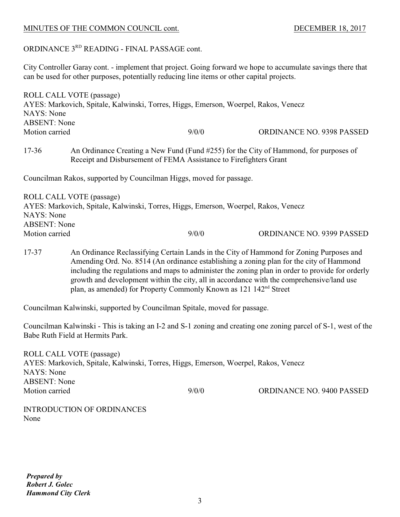# ORDINANCE 3RD READING - FINAL PASSAGE cont.

City Controller Garay cont. - implement that project. Going forward we hope to accumulate savings there that can be used for other purposes, potentially reducing line items or other capital projects.

| <b>NAYS</b> : None<br><b>ABSENT:</b> None                                                                                                                               | ROLL CALL VOTE (passage)<br>AYES: Markovich, Spitale, Kalwinski, Torres, Higgs, Emerson, Woerpel, Rakos, Venecz |       |                                                                                         |  |
|-------------------------------------------------------------------------------------------------------------------------------------------------------------------------|-----------------------------------------------------------------------------------------------------------------|-------|-----------------------------------------------------------------------------------------|--|
|                                                                                                                                                                         |                                                                                                                 |       |                                                                                         |  |
| Motion carried                                                                                                                                                          |                                                                                                                 | 9/0/0 | <b>ORDINANCE NO. 9398 PASSED</b>                                                        |  |
| $17 - 36$<br>An Ordinance Creating a New Fund (Fund #255) for the City of Hammond, for purposes of<br>Receipt and Disbursement of FEMA Assistance to Firefighters Grant |                                                                                                                 |       |                                                                                         |  |
|                                                                                                                                                                         | Councilman Rakos, supported by Councilman Higgs, moved for passage.                                             |       |                                                                                         |  |
|                                                                                                                                                                         | ROLL CALL VOTE (passage)                                                                                        |       |                                                                                         |  |
|                                                                                                                                                                         | AYES: Markovich, Spitale, Kalwinski, Torres, Higgs, Emerson, Woerpel, Rakos, Venecz                             |       |                                                                                         |  |
| NAYS: None                                                                                                                                                              |                                                                                                                 |       |                                                                                         |  |
| <b>ABSENT:</b> None                                                                                                                                                     |                                                                                                                 |       |                                                                                         |  |
| Motion carried                                                                                                                                                          |                                                                                                                 | 9/0/0 | ORDINANCE NO. 9399 PASSED                                                               |  |
|                                                                                                                                                                         |                                                                                                                 |       |                                                                                         |  |
| $17-37$                                                                                                                                                                 |                                                                                                                 |       | An Ordinance Reclassifying Certain Lands in the City of Hammond for Zoning Purposes and |  |

17-37 An Ordinance Reclassifying Certain Lands in the City of Hammond for Zoning Purposes and Amending Ord. No. 8514 (An ordinance establishing a zoning plan for the city of Hammond including the regulations and maps to administer the zoning plan in order to provide for orderly growth and development within the city, all in accordance with the comprehensive/land use plan, as amended) for Property Commonly Known as 121 142<sup>nd</sup> Street

Councilman Kalwinski, supported by Councilman Spitale, moved for passage.

Councilman Kalwinski - This is taking an I-2 and S-1 zoning and creating one zoning parcel of S-1, west of the Babe Ruth Field at Hermits Park.

| ROLL CALL VOTE (passage)                                                            |       |                                  |
|-------------------------------------------------------------------------------------|-------|----------------------------------|
| AYES: Markovich, Spitale, Kalwinski, Torres, Higgs, Emerson, Woerpel, Rakos, Venecz |       |                                  |
| NAYS: None                                                                          |       |                                  |
| <b>ABSENT:</b> None                                                                 |       |                                  |
| Motion carried                                                                      | 9/0/0 | <b>ORDINANCE NO. 9400 PASSED</b> |
|                                                                                     |       |                                  |

INTRODUCTION OF ORDINANCES None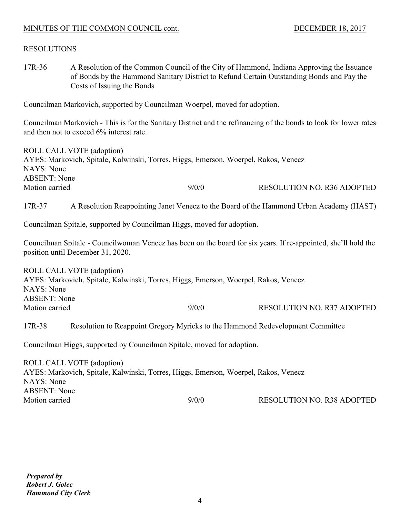# RESOLUTIONS

17R-36 A Resolution of the Common Council of the City of Hammond, Indiana Approving the Issuance of Bonds by the Hammond Sanitary District to Refund Certain Outstanding Bonds and Pay the Costs of Issuing the Bonds

Councilman Markovich, supported by Councilman Woerpel, moved for adoption.

Councilman Markovich - This is for the Sanitary District and the refinancing of the bonds to look for lower rates and then not to exceed 6% interest rate.

ROLL CALL VOTE (adoption) AYES: Markovich, Spitale, Kalwinski, Torres, Higgs, Emerson, Woerpel, Rakos, Venecz NAYS: None ABSENT: None Motion carried 2/0/0 RESOLUTION NO. R36 ADOPTED

17R-37 A Resolution Reappointing Janet Venecz to the Board of the Hammond Urban Academy (HAST)

Councilman Spitale, supported by Councilman Higgs, moved for adoption.

Councilman Spitale - Councilwoman Venecz has been on the board for six years. If re-appointed, she'll hold the position until December 31, 2020.

ROLL CALL VOTE (adoption) AYES: Markovich, Spitale, Kalwinski, Torres, Higgs, Emerson, Woerpel, Rakos, Venecz NAYS: None ABSENT: None Motion carried  $9/0/0$  RESOLUTION NO. R37 ADOPTED

17R-38 Resolution to Reappoint Gregory Myricks to the Hammond Redevelopment Committee

Councilman Higgs, supported by Councilman Spitale, moved for adoption.

ROLL CALL VOTE (adoption) AYES: Markovich, Spitale, Kalwinski, Torres, Higgs, Emerson, Woerpel, Rakos, Venecz NAYS: None ABSENT: None Motion carried **9/0/0** RESOLUTION NO. R38 ADOPTED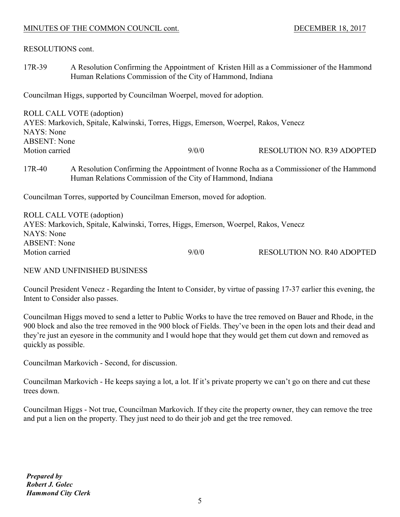RESOLUTIONS cont.

17R-39 A Resolution Confirming the Appointment of Kristen Hill as a Commissioner of the Hammond Human Relations Commission of the City of Hammond, Indiana

Councilman Higgs, supported by Councilman Woerpel, moved for adoption.

| ROLL CALL VOTE (adoption)                                                           |       |                                   |
|-------------------------------------------------------------------------------------|-------|-----------------------------------|
| AYES: Markovich, Spitale, Kalwinski, Torres, Higgs, Emerson, Woerpel, Rakos, Venecz |       |                                   |
| NAYS: None                                                                          |       |                                   |
| <b>ABSENT:</b> None                                                                 |       |                                   |
| Motion carried                                                                      | 9/0/0 | <b>RESOLUTION NO. R39 ADOPTED</b> |
|                                                                                     |       |                                   |

# 17R-40 A Resolution Confirming the Appointment of Ivonne Rocha as a Commissioner of the Hammond Human Relations Commission of the City of Hammond, Indiana

Councilman Torres, supported by Councilman Emerson, moved for adoption.

| ROLL CALL VOTE (adoption)                                                           |       |                                   |
|-------------------------------------------------------------------------------------|-------|-----------------------------------|
| AYES: Markovich, Spitale, Kalwinski, Torres, Higgs, Emerson, Woerpel, Rakos, Venecz |       |                                   |
| NAYS: None                                                                          |       |                                   |
| <b>ABSENT:</b> None                                                                 |       |                                   |
| Motion carried                                                                      | 9/0/0 | <b>RESOLUTION NO. R40 ADOPTED</b> |

# NEW AND UNFINISHED BUSINESS

Council President Venecz - Regarding the Intent to Consider, by virtue of passing 17-37 earlier this evening, the Intent to Consider also passes.

Councilman Higgs moved to send a letter to Public Works to have the tree removed on Bauer and Rhode, in the 900 block and also the tree removed in the 900 block of Fields. They've been in the open lots and their dead and they're just an eyesore in the community and I would hope that they would get them cut down and removed as quickly as possible.

Councilman Markovich - Second, for discussion.

Councilman Markovich - He keeps saying a lot, a lot. If it's private property we can't go on there and cut these trees down.

Councilman Higgs - Not true, Councilman Markovich. If they cite the property owner, they can remove the tree and put a lien on the property. They just need to do their job and get the tree removed.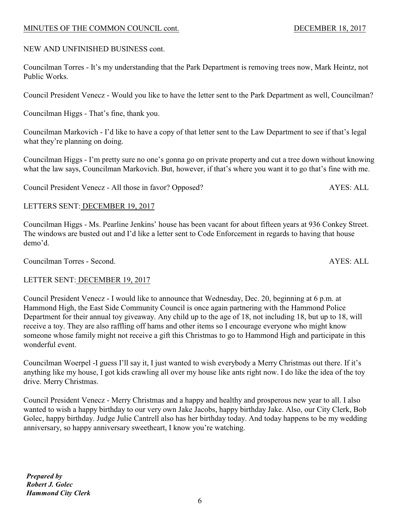# NEW AND UNFINISHED BUSINESS cont.

Councilman Torres - It's my understanding that the Park Department is removing trees now, Mark Heintz, not Public Works.

Council President Venecz - Would you like to have the letter sent to the Park Department as well, Councilman?

Councilman Higgs - That's fine, thank you.

Councilman Markovich - I'd like to have a copy of that letter sent to the Law Department to see if that's legal what they're planning on doing.

Councilman Higgs - I'm pretty sure no one's gonna go on private property and cut a tree down without knowing what the law says, Councilman Markovich. But, however, if that's where you want it to go that's fine with me.

Council President Venecz - All those in favor? Opposed? AYES: ALL

# LETTERS SENT: DECEMBER 19, 2017

Councilman Higgs - Ms. Pearline Jenkins' house has been vacant for about fifteen years at 936 Conkey Street. The windows are busted out and I'd like a letter sent to Code Enforcement in regards to having that house demo'd.

Councilman Torres - Second. AYES: ALL

# LETTER SENT: DECEMBER 19, 2017

Council President Venecz - I would like to announce that Wednesday, Dec. 20, beginning at 6 p.m. at Hammond High, the East Side Community Council is once again partnering with the Hammond Police Department for their annual toy giveaway. Any child up to the age of 18, not including 18, but up to 18, will receive a toy. They are also raffling off hams and other items so I encourage everyone who might know someone whose family might not receive a gift this Christmas to go to Hammond High and participate in this wonderful event.

Councilman Woerpel -I guess I'll say it, I just wanted to wish everybody a Merry Christmas out there. If it's anything like my house, I got kids crawling all over my house like ants right now. I do like the idea of the toy drive. Merry Christmas.

Council President Venecz - Merry Christmas and a happy and healthy and prosperous new year to all. I also wanted to wish a happy birthday to our very own Jake Jacobs, happy birthday Jake. Also, our City Clerk, Bob Golec, happy birthday. Judge Julie Cantrell also has her birthday today. And today happens to be my wedding anniversary, so happy anniversary sweetheart, I know you're watching.

6